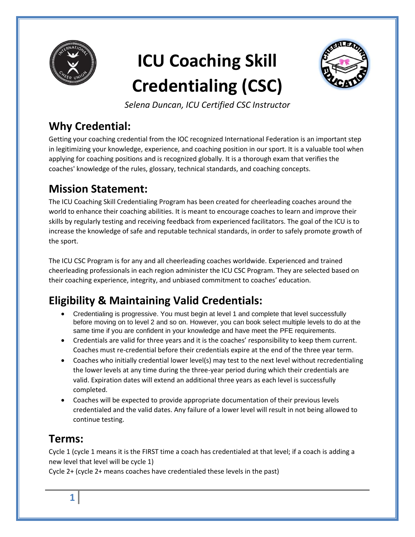

# **ICU Coaching Skill Credentialing (CSC)**



*Selena Duncan, ICU Certified CSC Instructor*

# **Why Credential:**

Getting your coaching credential from the IOC recognized International Federation is an important step in legitimizing your knowledge, experience, and coaching position in our sport. It is a valuable tool when applying for coaching positions and is recognized globally. It is a thorough exam that verifies the coaches' knowledge of the rules, glossary, technical standards, and coaching concepts.

# **Mission Statement:**

The ICU Coaching Skill Credentialing Program has been created for cheerleading coaches around the world to enhance their coaching abilities. It is meant to encourage coaches to learn and improve their skills by regularly testing and receiving feedback from experienced facilitators. The goal of the ICU is to increase the knowledge of safe and reputable technical standards, in order to safely promote growth of the sport.

The ICU CSC Program is for any and all cheerleading coaches worldwide. Experienced and trained cheerleading professionals in each region administer the ICU CSC Program. They are selected based on their coaching experience, integrity, and unbiased commitment to coaches' education.

# **Eligibility & Maintaining Valid Credentials:**

- Credentialing is progressive. You must begin at level 1 and complete that level successfully before moving on to level 2 and so on. However, you can book select multiple levels to do at the same time if you are confident in your knowledge and have meet the PFE requirements.
- Credentials are valid for three years and it is the coaches' responsibility to keep them current. Coaches must re-credential before their credentials expire at the end of the three year term.
- Coaches who initially credential lower level(s) may test to the next level without recredentialing the lower levels at any time during the three-year period during which their credentials are valid. Expiration dates will extend an additional three years as each level is successfully completed.
- Coaches will be expected to provide appropriate documentation of their previous levels credentialed and the valid dates. Any failure of a lower level will result in not being allowed to continue testing.

# **Terms:**

Cycle 1 (cycle 1 means it is the FIRST time a coach has credentialed at that level; if a coach is adding a new level that level will be cycle 1)

Cycle 2+ (cycle 2+ means coaches have credentialed these levels in the past)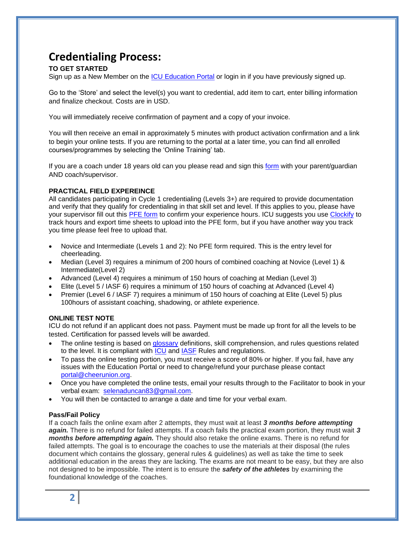### **Credentialing Process:**

### **TO GET STARTED**

Sign up as a New Member on the [ICU Education Portal](https://icu.member365.org/) or login in if you have previously signed up.

Go to the 'Store' and select the level(s) you want to credential, add item to cart, enter billing information and finalize checkout. Costs are in USD.

You will immediately receive confirmation of payment and a copy of your invoice.

You will then receive an email in approximately 5 minutes with product activation confirmation and a link to begin your online tests. If you are returning to the portal at a later time, you can find all enrolled courses/programmes by selecting the 'Online Training' tab.

If you are a coach under 18 years old can you please read and sign this [form](https://form.jotform.com/90236677917266) with your parent/guardian AND coach/supervisor.

### **PRACTICAL FIELD EXPEREINCE**

All candidates participating in Cycle 1 credentialing (Levels 3+) are required to provide documentation and verify that they qualify for credentialing in that skill set and level. If this applies to you, please have your supervisor fill out this [PFE form](https://form.jotform.com/93287727502261) to confirm your experience hours. ICU suggests you use [Clockify](https://clockify.me/) to track hours and export time sheets to upload into the PFE form, but if you have another way you track you time please feel free to upload that.

- Novice and Intermediate (Levels 1 and 2): No PFE form required. This is the entry level for cheerleading.
- Median (Level 3) requires a minimum of 200 hours of combined coaching at Novice (Level 1) & Intermediate(Level 2)
- Advanced (Level 4) requires a minimum of 150 hours of coaching at Median (Level 3)
- Elite (Level 5 / IASF 6) requires a minimum of 150 hours of coaching at Advanced (Level 4)
- Premier (Level 6 / IASF 7) requires a minimum of 150 hours of coaching at Elite (Level 5) plus 100hours of assistant coaching, shadowing, or athlete experience.

### **ONLINE TEST NOTE**

ICU do not refund if an applicant does not pass. Payment must be made up front for all the levels to be tested. Certification for passed levels will be awarded.

- The online testing is based on [glossary](http://cheerunion.org/cheerleadingglossary/) definitions, skill comprehension, and rules questions related to the level. It is compliant with [ICU](https://cheerunion.org.ismmedia.com/ISM3/std-content/repos/Top/docs/ICU_Rules_TC-PC_2020.pdf) and [IASF](http://www.iasfworlds.com/cheer-page/) Rules and regulations.
- To pass the online testing portion, you must receive a score of 80% or higher. If you fail, have any issues with the Education Portal or need to change/refund your purchase please contact [portal@cheerunion.org.](mailto:portal@cheerunion.org)
- Once you have completed the online tests, email your results through to the Facilitator to book in your verbal exam: [selenaduncan83@gmail.com.](mailto:selenaduncan83@gmail.com?subject=Coach%20Credentialing)
- You will then be contacted to arrange a date and time for your verbal exam.

#### **Pass/Fail Policy**

If a coach fails the online exam after 2 attempts, they must wait at least *3 months before attempting again.* There is no refund for failed attempts. If a coach fails the practical exam portion, they must wait *3 months before attempting again.* They should also retake the online exams. There is no refund for failed attempts. The goal is to encourage the coaches to use the materials at their disposal (the rules document which contains the glossary, general rules & guidelines) as well as take the time to seek additional education in the areas they are lacking. The exams are not meant to be easy, but they are also not designed to be impossible. The intent is to ensure the *safety of the athletes* by examining the foundational knowledge of the coaches.